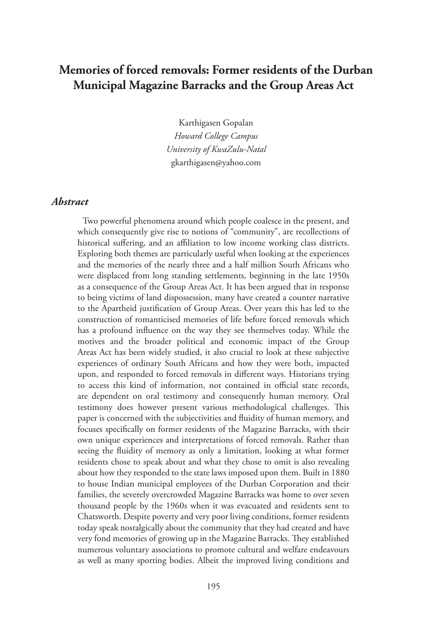# **Memories of forced removals: Former residents of the Durban Municipal Magazine Barracks and the Group Areas Act**

Karthigasen Gopalan *Howard College Campus University of KwaZulu-Natal*  gkarthigasen@yahoo.com

#### *Abstract*

Two powerful phenomena around which people coalesce in the present, and which consequently give rise to notions of "community", are recollections of historical suffering, and an affiliation to low income working class districts. Exploring both themes are particularly useful when looking at the experiences and the memories of the nearly three and a half million South Africans who were displaced from long standing settlements, beginning in the late 1950s as a consequence of the Group Areas Act. It has been argued that in response to being victims of land dispossession, many have created a counter narrative to the Apartheid justification of Group Areas. Over years this has led to the construction of romanticised memories of life before forced removals which has a profound influence on the way they see themselves today. While the motives and the broader political and economic impact of the Group Areas Act has been widely studied, it also crucial to look at these subjective experiences of ordinary South Africans and how they were both, impacted upon, and responded to forced removals in different ways. Historians trying to access this kind of information, not contained in official state records, are dependent on oral testimony and consequently human memory. Oral testimony does however present various methodological challenges. This paper is concerned with the subjectivities and fluidity of human memory, and focuses specifically on former residents of the Magazine Barracks, with their own unique experiences and interpretations of forced removals. Rather than seeing the fluidity of memory as only a limitation, looking at what former residents chose to speak about and what they chose to omit is also revealing about how they responded to the state laws imposed upon them. Built in 1880 to house Indian municipal employees of the Durban Corporation and their families, the severely overcrowded Magazine Barracks was home to over seven thousand people by the 1960s when it was evacuated and residents sent to Chatsworth. Despite poverty and very poor living conditions, former residents today speak nostalgically about the community that they had created and have very fond memories of growing up in the Magazine Barracks. They established numerous voluntary associations to promote cultural and welfare endeavours as well as many sporting bodies. Albeit the improved living conditions and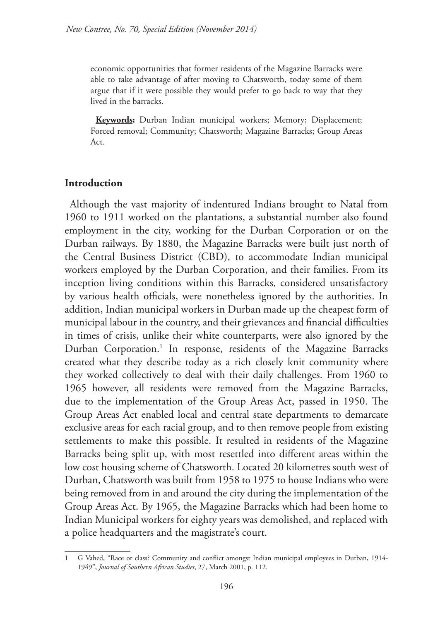economic opportunities that former residents of the Magazine Barracks were able to take advantage of after moving to Chatsworth, today some of them argue that if it were possible they would prefer to go back to way that they lived in the barracks.

**Keywords:** Durban Indian municipal workers; Memory; Displacement; Forced removal; Community; Chatsworth; Magazine Barracks; Group Areas Act.

## **Introduction**

Although the vast majority of indentured Indians brought to Natal from 1960 to 1911 worked on the plantations, a substantial number also found employment in the city, working for the Durban Corporation or on the Durban railways. By 1880, the Magazine Barracks were built just north of the Central Business District (CBD), to accommodate Indian municipal workers employed by the Durban Corporation, and their families. From its inception living conditions within this Barracks, considered unsatisfactory by various health officials, were nonetheless ignored by the authorities. In addition, Indian municipal workers in Durban made up the cheapest form of municipal labour in the country, and their grievances and financial difficulties in times of crisis, unlike their white counterparts, were also ignored by the Durban Corporation.<sup>1</sup> In response, residents of the Magazine Barracks created what they describe today as a rich closely knit community where they worked collectively to deal with their daily challenges. From 1960 to 1965 however, all residents were removed from the Magazine Barracks, due to the implementation of the Group Areas Act, passed in 1950. The Group Areas Act enabled local and central state departments to demarcate exclusive areas for each racial group, and to then remove people from existing settlements to make this possible. It resulted in residents of the Magazine Barracks being split up, with most resettled into different areas within the low cost housing scheme of Chatsworth. Located 20 kilometres south west of Durban, Chatsworth was built from 1958 to 1975 to house Indians who were being removed from in and around the city during the implementation of the Group Areas Act. By 1965, the Magazine Barracks which had been home to Indian Municipal workers for eighty years was demolished, and replaced with a police headquarters and the magistrate's court.

<sup>1</sup> G Vahed, "Race or class? Community and conflict amongst Indian municipal employees in Durban, 1914- 1949", *Journal of Southern African Studies*, 27, March 2001, p. 112.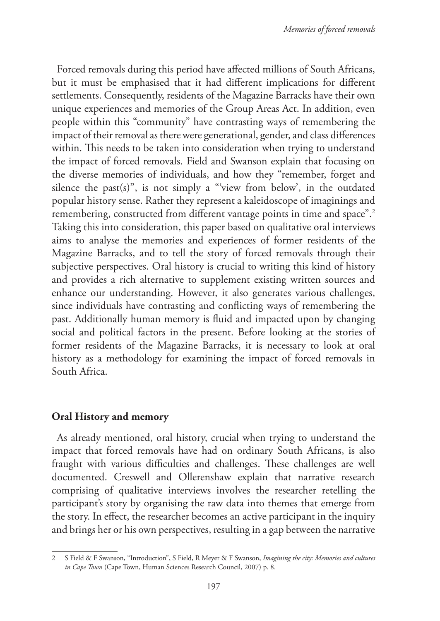Forced removals during this period have affected millions of South Africans, but it must be emphasised that it had different implications for different settlements. Consequently, residents of the Magazine Barracks have their own unique experiences and memories of the Group Areas Act. In addition, even people within this "community" have contrasting ways of remembering the impact of their removal as there were generational, gender, and class differences within. This needs to be taken into consideration when trying to understand the impact of forced removals. Field and Swanson explain that focusing on the diverse memories of individuals, and how they "remember, forget and silence the past(s)", is not simply a "'view from below', in the outdated popular history sense. Rather they represent a kaleidoscope of imaginings and remembering, constructed from different vantage points in time and space".2 Taking this into consideration, this paper based on qualitative oral interviews aims to analyse the memories and experiences of former residents of the Magazine Barracks, and to tell the story of forced removals through their subjective perspectives. Oral history is crucial to writing this kind of history and provides a rich alternative to supplement existing written sources and enhance our understanding. However, it also generates various challenges, since individuals have contrasting and conflicting ways of remembering the past. Additionally human memory is fluid and impacted upon by changing social and political factors in the present. Before looking at the stories of former residents of the Magazine Barracks, it is necessary to look at oral history as a methodology for examining the impact of forced removals in South Africa.

## **Oral History and memory**

As already mentioned, oral history, crucial when trying to understand the impact that forced removals have had on ordinary South Africans, is also fraught with various difficulties and challenges. These challenges are well documented. Creswell and Ollerenshaw explain that narrative research comprising of qualitative interviews involves the researcher retelling the participant's story by organising the raw data into themes that emerge from the story. In effect, the researcher becomes an active participant in the inquiry and brings her or his own perspectives, resulting in a gap between the narrative

<sup>2</sup> S Field & F Swanson, "Introduction", S Field, R Meyer & F Swanson, *Imagining the city: Memories and cultures in Cape Town* (Cape Town, Human Sciences Research Council, 2007) p. 8.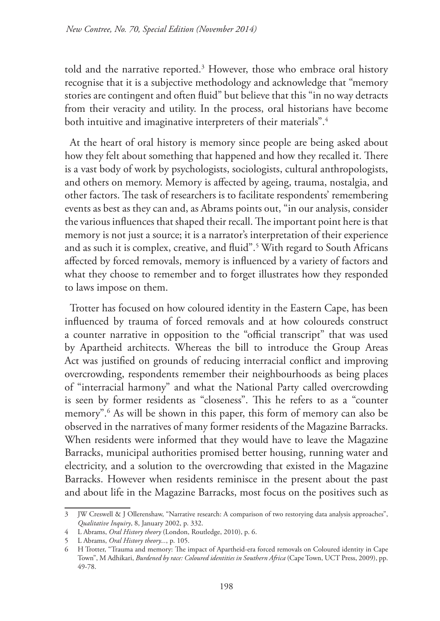told and the narrative reported.3 However, those who embrace oral history recognise that it is a subjective methodology and acknowledge that "memory stories are contingent and often fluid" but believe that this "in no way detracts from their veracity and utility. In the process, oral historians have become both intuitive and imaginative interpreters of their materials".<sup>4</sup>

At the heart of oral history is memory since people are being asked about how they felt about something that happened and how they recalled it. There is a vast body of work by psychologists, sociologists, cultural anthropologists, and others on memory. Memory is affected by ageing, trauma, nostalgia, and other factors. The task of researchers is to facilitate respondents' remembering events as best as they can and, as Abrams points out, "in our analysis, consider the various influences that shaped their recall. The important point here is that memory is not just a source; it is a narrator's interpretation of their experience and as such it is complex, creative, and fluid".5 With regard to South Africans affected by forced removals, memory is influenced by a variety of factors and what they choose to remember and to forget illustrates how they responded to laws impose on them.

Trotter has focused on how coloured identity in the Eastern Cape, has been influenced by trauma of forced removals and at how coloureds construct a counter narrative in opposition to the "official transcript" that was used by Apartheid architects. Whereas the bill to introduce the Group Areas Act was justified on grounds of reducing interracial conflict and improving overcrowding, respondents remember their neighbourhoods as being places of "interracial harmony" and what the National Party called overcrowding is seen by former residents as "closeness". This he refers to as a "counter memory".6 As will be shown in this paper, this form of memory can also be observed in the narratives of many former residents of the Magazine Barracks. When residents were informed that they would have to leave the Magazine Barracks, municipal authorities promised better housing, running water and electricity, and a solution to the overcrowding that existed in the Magazine Barracks. However when residents reminisce in the present about the past and about life in the Magazine Barracks, most focus on the positives such as

<sup>3</sup> JW Creswell & J Ollerenshaw, "Narrative research: A comparison of two restorying data analysis approaches", *Qualitative Inquiry*, 8, January 2002, p. 332.

<sup>4</sup> L Abrams, *Oral History theory* (London, Routledge, 2010), p. 6.

<sup>5</sup> L Abrams, *Oral History theory...*, p. 105.

<sup>6</sup> H Trotter, "Trauma and memory: The impact of Apartheid-era forced removals on Coloured identity in Cape Town", M Adhikari, *Burdened by race: Coloured identities in Southern Africa* (Cape Town, UCT Press, 2009), pp. 49-78.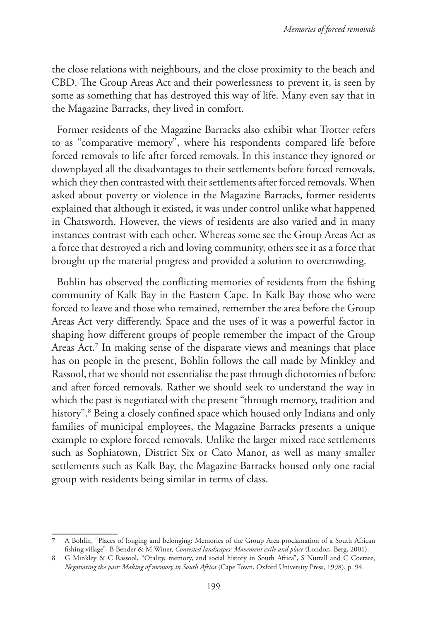the close relations with neighbours, and the close proximity to the beach and CBD. The Group Areas Act and their powerlessness to prevent it, is seen by some as something that has destroyed this way of life. Many even say that in the Magazine Barracks, they lived in comfort.

Former residents of the Magazine Barracks also exhibit what Trotter refers to as "comparative memory", where his respondents compared life before forced removals to life after forced removals. In this instance they ignored or downplayed all the disadvantages to their settlements before forced removals, which they then contrasted with their settlements after forced removals. When asked about poverty or violence in the Magazine Barracks, former residents explained that although it existed, it was under control unlike what happened in Chatsworth. However, the views of residents are also varied and in many instances contrast with each other. Whereas some see the Group Areas Act as a force that destroyed a rich and loving community, others see it as a force that brought up the material progress and provided a solution to overcrowding.

Bohlin has observed the conflicting memories of residents from the fishing community of Kalk Bay in the Eastern Cape. In Kalk Bay those who were forced to leave and those who remained, remember the area before the Group Areas Act very differently. Space and the uses of it was a powerful factor in shaping how different groups of people remember the impact of the Group Areas Act.7 In making sense of the disparate views and meanings that place has on people in the present, Bohlin follows the call made by Minkley and Rassool, that we should not essentialise the past through dichotomies of before and after forced removals. Rather we should seek to understand the way in which the past is negotiated with the present "through memory, tradition and history".8 Being a closely confined space which housed only Indians and only families of municipal employees, the Magazine Barracks presents a unique example to explore forced removals. Unlike the larger mixed race settlements such as Sophiatown, District Six or Cato Manor, as well as many smaller settlements such as Kalk Bay, the Magazine Barracks housed only one racial group with residents being similar in terms of class.

<sup>7</sup> A Bohlin, "Places of longing and belonging: Memories of the Group Area proclamation of a South African fishing village", B Bender & M Winer, *Contested landscapes: Movement exile and place* (London, Berg, 2001).

<sup>8</sup> G Minkley & C Rassool, "Orality, memory, and social history in South Africa", S Nuttall and C Coetzee, *Negotiating the past: Making of memory in South Africa* (Cape Town, Oxford University Press, 1998), p. 94.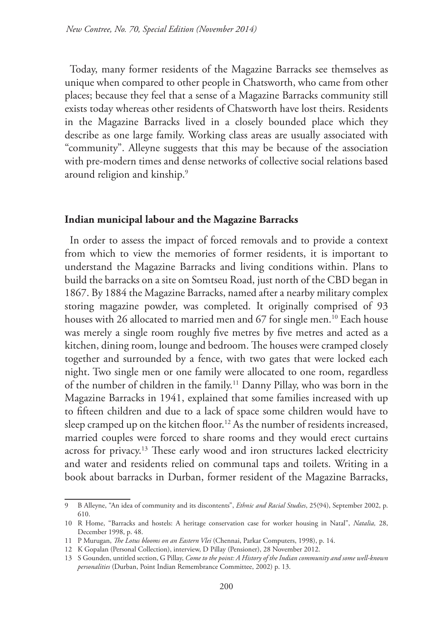Today, many former residents of the Magazine Barracks see themselves as unique when compared to other people in Chatsworth, who came from other places; because they feel that a sense of a Magazine Barracks community still exists today whereas other residents of Chatsworth have lost theirs. Residents in the Magazine Barracks lived in a closely bounded place which they describe as one large family. Working class areas are usually associated with "community". Alleyne suggests that this may be because of the association with pre-modern times and dense networks of collective social relations based around religion and kinship.9

#### **Indian municipal labour and the Magazine Barracks**

In order to assess the impact of forced removals and to provide a context from which to view the memories of former residents, it is important to understand the Magazine Barracks and living conditions within. Plans to build the barracks on a site on Somtseu Road, just north of the CBD began in 1867. By 1884 the Magazine Barracks, named after a nearby military complex storing magazine powder, was completed. It originally comprised of 93 houses with 26 allocated to married men and 67 for single men.<sup>10</sup> Each house was merely a single room roughly five metres by five metres and acted as a kitchen, dining room, lounge and bedroom. The houses were cramped closely together and surrounded by a fence, with two gates that were locked each night. Two single men or one family were allocated to one room, regardless of the number of children in the family.11 Danny Pillay, who was born in the Magazine Barracks in 1941, explained that some families increased with up to fifteen children and due to a lack of space some children would have to sleep cramped up on the kitchen floor.<sup>12</sup> As the number of residents increased, married couples were forced to share rooms and they would erect curtains across for privacy.13 These early wood and iron structures lacked electricity and water and residents relied on communal taps and toilets. Writing in a book about barracks in Durban, former resident of the Magazine Barracks,

<sup>9</sup> B Alleyne, "An idea of community and its discontents", *Ethnic and Racial Studies*, 25(94), September 2002, p. 610.

<sup>10</sup> R Home, "Barracks and hostels: A heritage conservation case for worker housing in Natal", *Natalia,* 28, December 1998, p. 48.

<sup>11</sup> P Murugan, *The Lotus blooms on an Eastern Vlei* (Chennai, Parkar Computers, 1998), p. 14.

<sup>12</sup> K Gopalan (Personal Collection), interview, D Pillay (Pensioner), 28 November 2012.

<sup>13</sup> S Gounden, untitled section, G Pillay, *Come to the point: A History of the Indian community and some well-known personalities* (Durban, Point Indian Remembrance Committee, 2002) p. 13.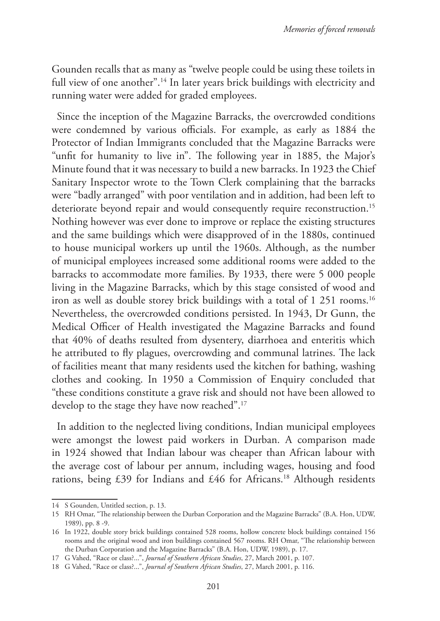Gounden recalls that as many as "twelve people could be using these toilets in full view of one another".<sup>14</sup> In later years brick buildings with electricity and running water were added for graded employees.

Since the inception of the Magazine Barracks, the overcrowded conditions were condemned by various officials. For example, as early as 1884 the Protector of Indian Immigrants concluded that the Magazine Barracks were "unfit for humanity to live in". The following year in 1885, the Major's Minute found that it was necessary to build a new barracks. In 1923 the Chief Sanitary Inspector wrote to the Town Clerk complaining that the barracks were "badly arranged" with poor ventilation and in addition, had been left to deteriorate beyond repair and would consequently require reconstruction.<sup>15</sup> Nothing however was ever done to improve or replace the existing structures and the same buildings which were disapproved of in the 1880s, continued to house municipal workers up until the 1960s. Although, as the number of municipal employees increased some additional rooms were added to the barracks to accommodate more families. By 1933, there were 5 000 people living in the Magazine Barracks, which by this stage consisted of wood and iron as well as double storey brick buildings with a total of 1 251 rooms.<sup>16</sup> Nevertheless, the overcrowded conditions persisted. In 1943, Dr Gunn, the Medical Officer of Health investigated the Magazine Barracks and found that 40% of deaths resulted from dysentery, diarrhoea and enteritis which he attributed to fly plagues, overcrowding and communal latrines. The lack of facilities meant that many residents used the kitchen for bathing, washing clothes and cooking. In 1950 a Commission of Enquiry concluded that "these conditions constitute a grave risk and should not have been allowed to develop to the stage they have now reached".17

In addition to the neglected living conditions, Indian municipal employees were amongst the lowest paid workers in Durban. A comparison made in 1924 showed that Indian labour was cheaper than African labour with the average cost of labour per annum, including wages, housing and food rations, being £39 for Indians and £46 for Africans.18 Although residents

<sup>14</sup> S Gounden, Untitled section, p. 13.

<sup>15</sup> RH Omar, "The relationship between the Durban Corporation and the Magazine Barracks" (B.A. Hon, UDW, 1989), pp. 8 -9.

<sup>16</sup> In 1922, double story brick buildings contained 528 rooms, hollow concrete block buildings contained 156 rooms and the original wood and iron buildings contained 567 rooms. RH Omar, "The relationship between the Durban Corporation and the Magazine Barracks" (B.A. Hon, UDW, 1989), p. 17.

<sup>17</sup> G Vahed, "Race or class?...", *Journal of Southern African Studies*, 27, March 2001, p. 107.

<sup>18</sup> G Vahed, "Race or class?...", *Journal of Southern African Studies*, 27, March 2001, p. 116.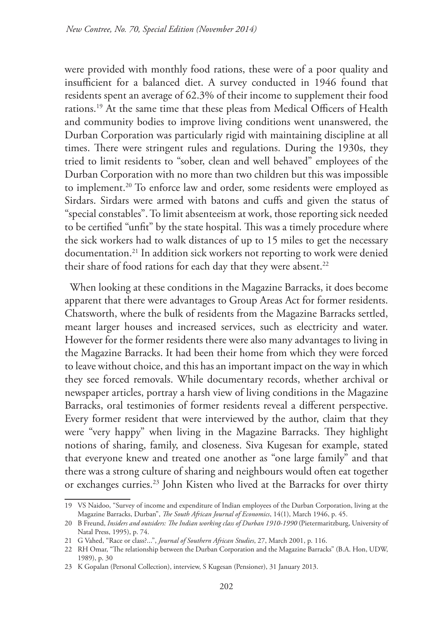were provided with monthly food rations, these were of a poor quality and insufficient for a balanced diet. A survey conducted in 1946 found that residents spent an average of 62.3% of their income to supplement their food rations.19 At the same time that these pleas from Medical Officers of Health and community bodies to improve living conditions went unanswered, the Durban Corporation was particularly rigid with maintaining discipline at all times. There were stringent rules and regulations. During the 1930s, they tried to limit residents to "sober, clean and well behaved" employees of the Durban Corporation with no more than two children but this was impossible to implement.<sup>20</sup> To enforce law and order, some residents were employed as Sirdars. Sirdars were armed with batons and cuffs and given the status of "special constables". To limit absenteeism at work, those reporting sick needed to be certified "unfit" by the state hospital. This was a timely procedure where the sick workers had to walk distances of up to 15 miles to get the necessary documentation.21 In addition sick workers not reporting to work were denied their share of food rations for each day that they were absent.<sup>22</sup>

When looking at these conditions in the Magazine Barracks, it does become apparent that there were advantages to Group Areas Act for former residents. Chatsworth, where the bulk of residents from the Magazine Barracks settled, meant larger houses and increased services, such as electricity and water. However for the former residents there were also many advantages to living in the Magazine Barracks. It had been their home from which they were forced to leave without choice, and this has an important impact on the way in which they see forced removals. While documentary records, whether archival or newspaper articles, portray a harsh view of living conditions in the Magazine Barracks, oral testimonies of former residents reveal a different perspective. Every former resident that were interviewed by the author, claim that they were "very happy" when living in the Magazine Barracks. They highlight notions of sharing, family, and closeness. Siva Kugesan for example, stated that everyone knew and treated one another as "one large family" and that there was a strong culture of sharing and neighbours would often eat together or exchanges curries.<sup>23</sup> John Kisten who lived at the Barracks for over thirty

<sup>19</sup> VS Naidoo, "Survey of income and expenditure of Indian employees of the Durban Corporation, living at the Magazine Barracks, Durban", *The South African Journal of Economics*, 14(1), March 1946, p. 45.

<sup>20</sup> B Freund, *Insiders and outsiders: The Indian working class of Durban 1910-1990* (Pietermaritzburg, University of Natal Press, 1995), p. 74.

<sup>21</sup> G Vahed, "Race or class?...", *Journal of Southern African Studies*, 27, March 2001, p. 116.

<sup>22</sup> RH Omar, "The relationship between the Durban Corporation and the Magazine Barracks" (B.A. Hon, UDW, 1989), p. 30

<sup>23</sup> K Gopalan (Personal Collection), interview, S Kugesan (Pensioner), 31 January 2013.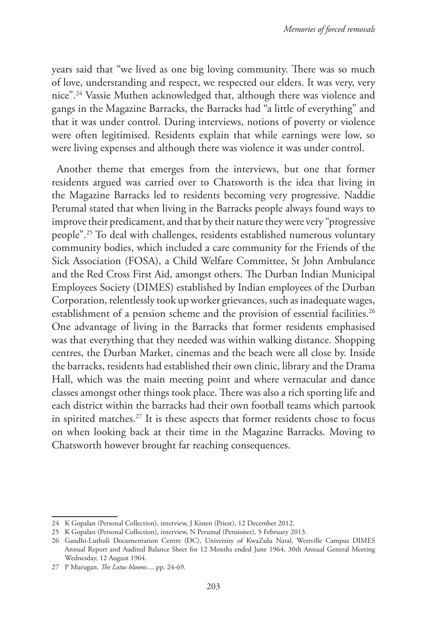years said that "we lived as one big loving community. There was so much of love, understanding and respect, we respected our elders. It was very, very nice".24 Vassie Muthen acknowledged that, although there was violence and gangs in the Magazine Barracks, the Barracks had "a little of everything" and that it was under control. During interviews, notions of poverty or violence were often legitimised. Residents explain that while earnings were low, so were living expenses and although there was violence it was under control.

Another theme that emerges from the interviews, but one that former residents argued was carried over to Chatsworth is the idea that living in the Magazine Barracks led to residents becoming very progressive. Naddie Perumal stated that when living in the Barracks people always found ways to improve their predicament, and that by their nature they were very "progressive people".25 To deal with challenges, residents established numerous voluntary community bodies, which included a care community for the Friends of the Sick Association (FOSA), a Child Welfare Committee, St John Ambulance and the Red Cross First Aid, amongst others. The Durban Indian Municipal Employees Society (DIMES) established by Indian employees of the Durban Corporation, relentlessly took up worker grievances, such as inadequate wages, establishment of a pension scheme and the provision of essential facilities.<sup>26</sup> One advantage of living in the Barracks that former residents emphasised was that everything that they needed was within walking distance. Shopping centres, the Durban Market, cinemas and the beach were all close by. Inside the barracks, residents had established their own clinic, library and the Drama Hall, which was the main meeting point and where vernacular and dance classes amongst other things took place. There was also a rich sporting life and each district within the barracks had their own football teams which partook in spirited matches.<sup>27</sup> It is these aspects that former residents chose to focus on when looking back at their time in the Magazine Barracks. Moving to Chatsworth however brought far reaching consequences.

<sup>24</sup> K Gopalan (Personal Collection), interview, J Kisten (Priest), 12 December 2012.

<sup>25</sup> K Gopalan (Personal Collection), interview, N Perumal (Pensioner), 5 February 2013.

<sup>26</sup> Gandhi-Luthuli Documentation Centre (DC), University of KwaZulu Natal, Westville Campus DIMES Annual Report and Audited Balance Sheet for 12 Months ended June 1964, 30th Annual General Meeting Wednesday, 12 August 1964.

<sup>27</sup> P Murugan, *The Lotus blooms*..., pp. 24-69.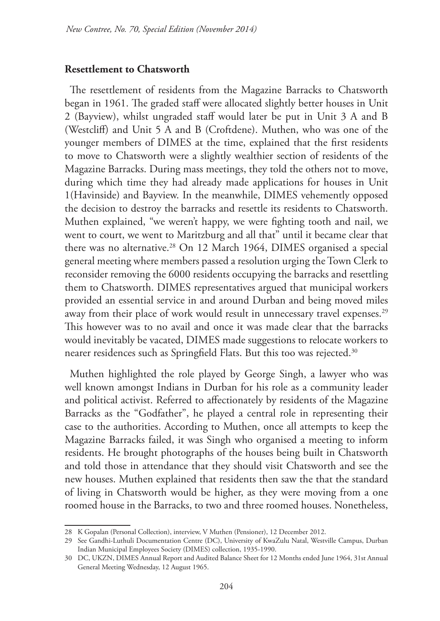#### **Resettlement to Chatsworth**

The resettlement of residents from the Magazine Barracks to Chatsworth began in 1961. The graded staff were allocated slightly better houses in Unit 2 (Bayview), whilst ungraded staff would later be put in Unit 3 A and B (Westcliff) and Unit 5 A and B (Croftdene). Muthen, who was one of the younger members of DIMES at the time, explained that the first residents to move to Chatsworth were a slightly wealthier section of residents of the Magazine Barracks. During mass meetings, they told the others not to move, during which time they had already made applications for houses in Unit 1(Havinside) and Bayview. In the meanwhile, DIMES vehemently opposed the decision to destroy the barracks and resettle its residents to Chatsworth. Muthen explained, "we weren't happy, we were fighting tooth and nail, we went to court, we went to Maritzburg and all that" until it became clear that there was no alternative.<sup>28</sup> On 12 March 1964, DIMES organised a special general meeting where members passed a resolution urging the Town Clerk to reconsider removing the 6000 residents occupying the barracks and resettling them to Chatsworth. DIMES representatives argued that municipal workers provided an essential service in and around Durban and being moved miles away from their place of work would result in unnecessary travel expenses.<sup>29</sup> This however was to no avail and once it was made clear that the barracks would inevitably be vacated, DIMES made suggestions to relocate workers to nearer residences such as Springfield Flats. But this too was rejected.<sup>30</sup>

Muthen highlighted the role played by George Singh, a lawyer who was well known amongst Indians in Durban for his role as a community leader and political activist. Referred to affectionately by residents of the Magazine Barracks as the "Godfather", he played a central role in representing their case to the authorities. According to Muthen, once all attempts to keep the Magazine Barracks failed, it was Singh who organised a meeting to inform residents. He brought photographs of the houses being built in Chatsworth and told those in attendance that they should visit Chatsworth and see the new houses. Muthen explained that residents then saw the that the standard of living in Chatsworth would be higher, as they were moving from a one roomed house in the Barracks, to two and three roomed houses. Nonetheless,

<sup>28</sup> K Gopalan (Personal Collection), interview, V Muthen (Pensioner), 12 December 2012.

<sup>29</sup> See Gandhi-Luthuli Documentation Centre (DC), University of KwaZulu Natal, Westville Campus, Durban Indian Municipal Employees Society (DIMES) collection, 1935-1990.

<sup>30</sup> DC, UKZN, DIMES Annual Report and Audited Balance Sheet for 12 Months ended June 1964, 31st Annual General Meeting Wednesday, 12 August 1965.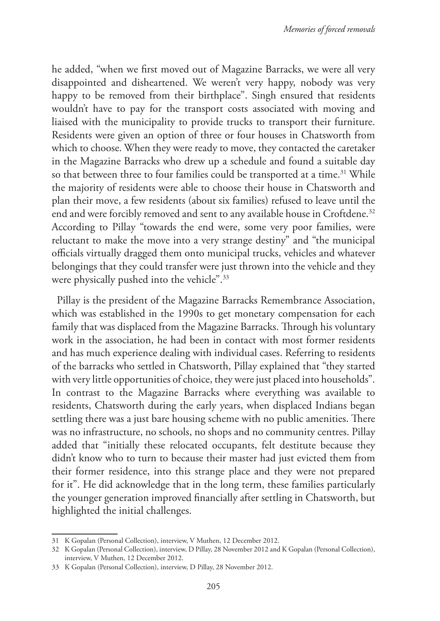he added, "when we first moved out of Magazine Barracks, we were all very disappointed and disheartened. We weren't very happy, nobody was very happy to be removed from their birthplace". Singh ensured that residents wouldn't have to pay for the transport costs associated with moving and liaised with the municipality to provide trucks to transport their furniture. Residents were given an option of three or four houses in Chatsworth from which to choose. When they were ready to move, they contacted the caretaker in the Magazine Barracks who drew up a schedule and found a suitable day so that between three to four families could be transported at a time.<sup>31</sup> While the majority of residents were able to choose their house in Chatsworth and plan their move, a few residents (about six families) refused to leave until the end and were forcibly removed and sent to any available house in Croftdene.<sup>32</sup> According to Pillay "towards the end were, some very poor families, were reluctant to make the move into a very strange destiny" and "the municipal officials virtually dragged them onto municipal trucks, vehicles and whatever belongings that they could transfer were just thrown into the vehicle and they were physically pushed into the vehicle".<sup>33</sup>

Pillay is the president of the Magazine Barracks Remembrance Association, which was established in the 1990s to get monetary compensation for each family that was displaced from the Magazine Barracks. Through his voluntary work in the association, he had been in contact with most former residents and has much experience dealing with individual cases. Referring to residents of the barracks who settled in Chatsworth, Pillay explained that "they started with very little opportunities of choice, they were just placed into households". In contrast to the Magazine Barracks where everything was available to residents, Chatsworth during the early years, when displaced Indians began settling there was a just bare housing scheme with no public amenities. There was no infrastructure, no schools, no shops and no community centres. Pillay added that "initially these relocated occupants, felt destitute because they didn't know who to turn to because their master had just evicted them from their former residence, into this strange place and they were not prepared for it". He did acknowledge that in the long term, these families particularly the younger generation improved financially after settling in Chatsworth, but highlighted the initial challenges.

<sup>31</sup> K Gopalan (Personal Collection), interview, V Muthen, 12 December 2012.

<sup>32</sup> K Gopalan (Personal Collection), interview, D Pillay, 28 November 2012 and K Gopalan (Personal Collection), interview, V Muthen, 12 December 2012.

<sup>33</sup> K Gopalan (Personal Collection), interview, D Pillay, 28 November 2012.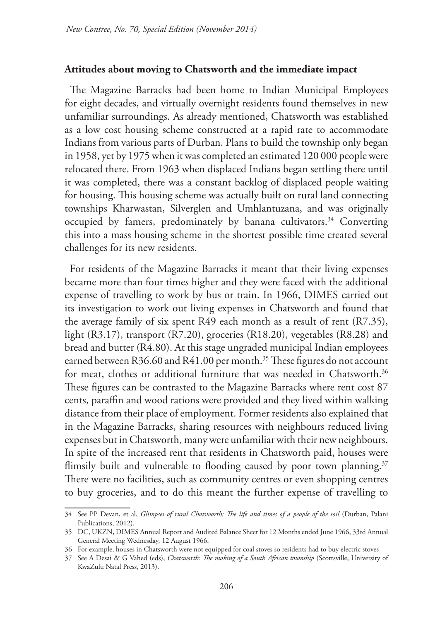## **Attitudes about moving to Chatsworth and the immediate impact**

The Magazine Barracks had been home to Indian Municipal Employees for eight decades, and virtually overnight residents found themselves in new unfamiliar surroundings. As already mentioned, Chatsworth was established as a low cost housing scheme constructed at a rapid rate to accommodate Indians from various parts of Durban. Plans to build the township only began in 1958, yet by 1975 when it was completed an estimated 120 000 people were relocated there. From 1963 when displaced Indians began settling there until it was completed, there was a constant backlog of displaced people waiting for housing. This housing scheme was actually built on rural land connecting townships Kharwastan, Silverglen and Umhlantuzana, and was originally occupied by famers, predominately by banana cultivators.<sup>34</sup> Converting this into a mass housing scheme in the shortest possible time created several challenges for its new residents.

For residents of the Magazine Barracks it meant that their living expenses became more than four times higher and they were faced with the additional expense of travelling to work by bus or train. In 1966, DIMES carried out its investigation to work out living expenses in Chatsworth and found that the average family of six spent R49 each month as a result of rent (R7.35), light (R3.17), transport (R7.20), groceries (R18.20), vegetables (R8.28) and bread and butter (R4.80). At this stage ungraded municipal Indian employees earned between R36.60 and R41.00 per month.<sup>35</sup> These figures do not account for meat, clothes or additional furniture that was needed in Chatsworth.<sup>36</sup> These figures can be contrasted to the Magazine Barracks where rent cost 87 cents, paraffin and wood rations were provided and they lived within walking distance from their place of employment. Former residents also explained that in the Magazine Barracks, sharing resources with neighbours reduced living expenses but in Chatsworth, many were unfamiliar with their new neighbours. In spite of the increased rent that residents in Chatsworth paid, houses were flimsily built and vulnerable to flooding caused by poor town planning.<sup>37</sup> There were no facilities, such as community centres or even shopping centres to buy groceries, and to do this meant the further expense of travelling to

<sup>34</sup> See PP Devan, et al, *Glimpses of rural Chatsworth: The life and times of a people of the soil* (Durban, Palani Publications, 2012).

<sup>35</sup> DC, UKZN, DIMES Annual Report and Audited Balance Sheet for 12 Months ended June 1966, 33rd Annual General Meeting Wednesday, 12 August 1966.

<sup>36</sup> For example, houses in Chatsworth were not equipped for coal stoves so residents had to buy electric stoves

<sup>37</sup> See A Desai & G Vahed (eds), *Chatsworth: The making of a South African township* (Scottsville, University of KwaZulu Natal Press, 2013).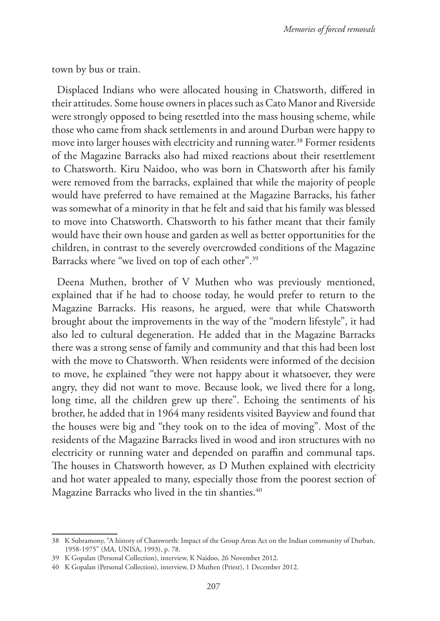town by bus or train.

Displaced Indians who were allocated housing in Chatsworth, differed in their attitudes. Some house owners in places such as Cato Manor and Riverside were strongly opposed to being resettled into the mass housing scheme, while those who came from shack settlements in and around Durban were happy to move into larger houses with electricity and running water.<sup>38</sup> Former residents of the Magazine Barracks also had mixed reactions about their resettlement to Chatsworth. Kiru Naidoo, who was born in Chatsworth after his family were removed from the barracks, explained that while the majority of people would have preferred to have remained at the Magazine Barracks, his father was somewhat of a minority in that he felt and said that his family was blessed to move into Chatsworth. Chatsworth to his father meant that their family would have their own house and garden as well as better opportunities for the children, in contrast to the severely overcrowded conditions of the Magazine Barracks where "we lived on top of each other".39

Deena Muthen, brother of V Muthen who was previously mentioned, explained that if he had to choose today, he would prefer to return to the Magazine Barracks. His reasons, he argued, were that while Chatsworth brought about the improvements in the way of the "modern lifestyle", it had also led to cultural degeneration. He added that in the Magazine Barracks there was a strong sense of family and community and that this had been lost with the move to Chatsworth. When residents were informed of the decision to move, he explained "they were not happy about it whatsoever, they were angry, they did not want to move. Because look, we lived there for a long, long time, all the children grew up there". Echoing the sentiments of his brother, he added that in 1964 many residents visited Bayview and found that the houses were big and "they took on to the idea of moving". Most of the residents of the Magazine Barracks lived in wood and iron structures with no electricity or running water and depended on paraffin and communal taps. The houses in Chatsworth however, as D Muthen explained with electricity and hot water appealed to many, especially those from the poorest section of Magazine Barracks who lived in the tin shanties.<sup>40</sup>

<sup>38</sup> K Subramony, "A history of Chatsworth: Impact of the Group Areas Act on the Indian community of Durban, 1958-1975" (MA, UNISA, 1993), p. 78.

<sup>39</sup> K Gopalan (Personal Collection), interview, K Naidoo, 26 November 2012.

<sup>40</sup> K Gopalan (Personal Collection), interview, D Muthen (Priest), 1 December 2012.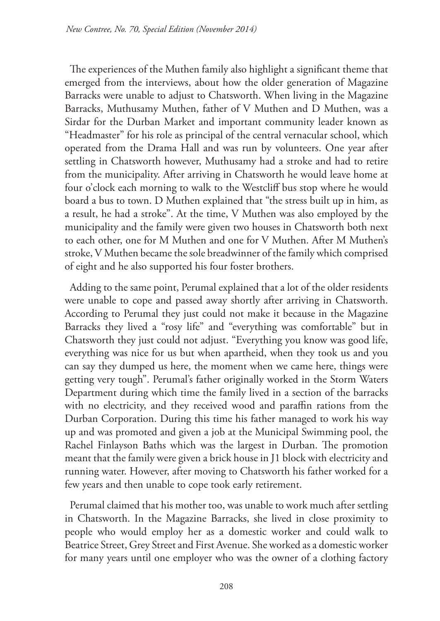The experiences of the Muthen family also highlight a significant theme that emerged from the interviews, about how the older generation of Magazine Barracks were unable to adjust to Chatsworth. When living in the Magazine Barracks, Muthusamy Muthen, father of V Muthen and D Muthen, was a Sirdar for the Durban Market and important community leader known as "Headmaster" for his role as principal of the central vernacular school, which operated from the Drama Hall and was run by volunteers. One year after settling in Chatsworth however, Muthusamy had a stroke and had to retire from the municipality. After arriving in Chatsworth he would leave home at four o'clock each morning to walk to the Westcliff bus stop where he would board a bus to town. D Muthen explained that "the stress built up in him, as a result, he had a stroke". At the time, V Muthen was also employed by the municipality and the family were given two houses in Chatsworth both next to each other, one for M Muthen and one for V Muthen. After M Muthen's stroke, V Muthen became the sole breadwinner of the family which comprised of eight and he also supported his four foster brothers.

Adding to the same point, Perumal explained that a lot of the older residents were unable to cope and passed away shortly after arriving in Chatsworth. According to Perumal they just could not make it because in the Magazine Barracks they lived a "rosy life" and "everything was comfortable" but in Chatsworth they just could not adjust. "Everything you know was good life, everything was nice for us but when apartheid, when they took us and you can say they dumped us here, the moment when we came here, things were getting very tough". Perumal's father originally worked in the Storm Waters Department during which time the family lived in a section of the barracks with no electricity, and they received wood and paraffin rations from the Durban Corporation. During this time his father managed to work his way up and was promoted and given a job at the Municipal Swimming pool, the Rachel Finlayson Baths which was the largest in Durban. The promotion meant that the family were given a brick house in J1 block with electricity and running water. However, after moving to Chatsworth his father worked for a few years and then unable to cope took early retirement.

Perumal claimed that his mother too, was unable to work much after settling in Chatsworth. In the Magazine Barracks, she lived in close proximity to people who would employ her as a domestic worker and could walk to Beatrice Street, Grey Street and First Avenue. She worked as a domestic worker for many years until one employer who was the owner of a clothing factory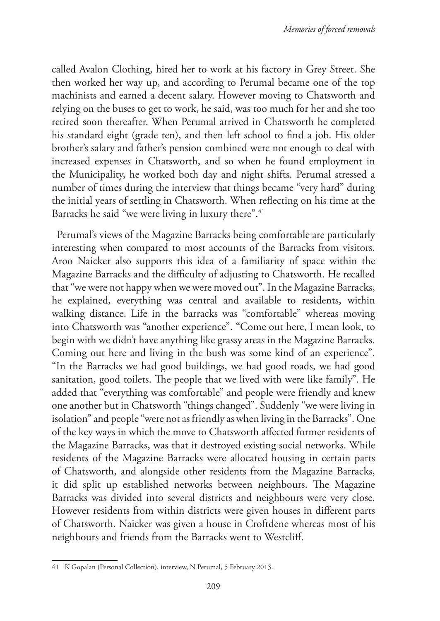called Avalon Clothing, hired her to work at his factory in Grey Street. She then worked her way up, and according to Perumal became one of the top machinists and earned a decent salary. However moving to Chatsworth and relying on the buses to get to work, he said, was too much for her and she too retired soon thereafter. When Perumal arrived in Chatsworth he completed his standard eight (grade ten), and then left school to find a job. His older brother's salary and father's pension combined were not enough to deal with increased expenses in Chatsworth, and so when he found employment in the Municipality, he worked both day and night shifts. Perumal stressed a number of times during the interview that things became "very hard" during the initial years of settling in Chatsworth. When reflecting on his time at the Barracks he said "we were living in luxury there".<sup>41</sup>

Perumal's views of the Magazine Barracks being comfortable are particularly interesting when compared to most accounts of the Barracks from visitors. Aroo Naicker also supports this idea of a familiarity of space within the Magazine Barracks and the difficulty of adjusting to Chatsworth. He recalled that "we were not happy when we were moved out". In the Magazine Barracks, he explained, everything was central and available to residents, within walking distance. Life in the barracks was "comfortable" whereas moving into Chatsworth was "another experience". "Come out here, I mean look, to begin with we didn't have anything like grassy areas in the Magazine Barracks. Coming out here and living in the bush was some kind of an experience". "In the Barracks we had good buildings, we had good roads, we had good sanitation, good toilets. The people that we lived with were like family". He added that "everything was comfortable" and people were friendly and knew one another but in Chatsworth "things changed". Suddenly "we were living in isolation" and people "were not as friendly as when living in the Barracks". One of the key ways in which the move to Chatsworth affected former residents of the Magazine Barracks, was that it destroyed existing social networks. While residents of the Magazine Barracks were allocated housing in certain parts of Chatsworth, and alongside other residents from the Magazine Barracks, it did split up established networks between neighbours. The Magazine Barracks was divided into several districts and neighbours were very close. However residents from within districts were given houses in different parts of Chatsworth. Naicker was given a house in Croftdene whereas most of his neighbours and friends from the Barracks went to Westcliff.

<sup>41</sup> K Gopalan (Personal Collection), interview, N Perumal, 5 February 2013.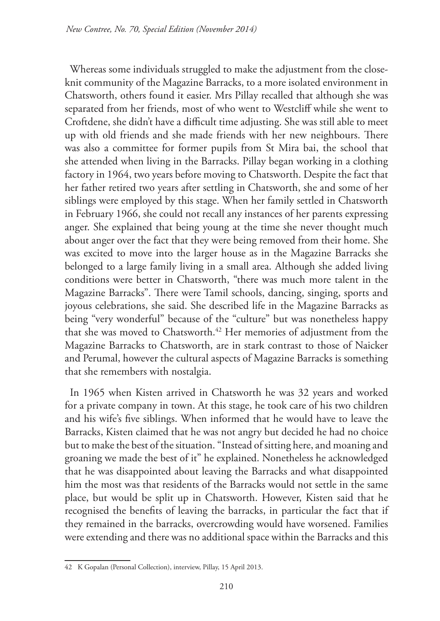Whereas some individuals struggled to make the adjustment from the closeknit community of the Magazine Barracks, to a more isolated environment in Chatsworth, others found it easier. Mrs Pillay recalled that although she was separated from her friends, most of who went to Westcliff while she went to Croftdene, she didn't have a difficult time adjusting. She was still able to meet up with old friends and she made friends with her new neighbours. There was also a committee for former pupils from St Mira bai, the school that she attended when living in the Barracks. Pillay began working in a clothing factory in 1964, two years before moving to Chatsworth. Despite the fact that her father retired two years after settling in Chatsworth, she and some of her siblings were employed by this stage. When her family settled in Chatsworth in February 1966, she could not recall any instances of her parents expressing anger. She explained that being young at the time she never thought much about anger over the fact that they were being removed from their home. She was excited to move into the larger house as in the Magazine Barracks she belonged to a large family living in a small area. Although she added living conditions were better in Chatsworth, "there was much more talent in the Magazine Barracks". There were Tamil schools, dancing, singing, sports and joyous celebrations, she said. She described life in the Magazine Barracks as being "very wonderful" because of the "culture" but was nonetheless happy that she was moved to Chatsworth.<sup>42</sup> Her memories of adjustment from the Magazine Barracks to Chatsworth, are in stark contrast to those of Naicker and Perumal, however the cultural aspects of Magazine Barracks is something that she remembers with nostalgia.

In 1965 when Kisten arrived in Chatsworth he was 32 years and worked for a private company in town. At this stage, he took care of his two children and his wife's five siblings. When informed that he would have to leave the Barracks, Kisten claimed that he was not angry but decided he had no choice but to make the best of the situation. "Instead of sitting here, and moaning and groaning we made the best of it" he explained. Nonetheless he acknowledged that he was disappointed about leaving the Barracks and what disappointed him the most was that residents of the Barracks would not settle in the same place, but would be split up in Chatsworth. However, Kisten said that he recognised the benefits of leaving the barracks, in particular the fact that if they remained in the barracks, overcrowding would have worsened. Families were extending and there was no additional space within the Barracks and this

<sup>42</sup> K Gopalan (Personal Collection), interview, Pillay, 15 April 2013.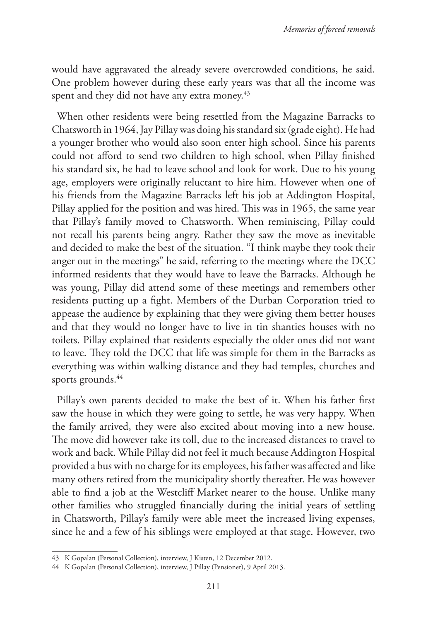would have aggravated the already severe overcrowded conditions, he said. One problem however during these early years was that all the income was spent and they did not have any extra money.<sup>43</sup>

When other residents were being resettled from the Magazine Barracks to Chatsworth in 1964, Jay Pillay was doing his standard six (grade eight). He had a younger brother who would also soon enter high school. Since his parents could not afford to send two children to high school, when Pillay finished his standard six, he had to leave school and look for work. Due to his young age, employers were originally reluctant to hire him. However when one of his friends from the Magazine Barracks left his job at Addington Hospital, Pillay applied for the position and was hired. This was in 1965, the same year that Pillay's family moved to Chatsworth. When reminiscing, Pillay could not recall his parents being angry. Rather they saw the move as inevitable and decided to make the best of the situation. "I think maybe they took their anger out in the meetings" he said, referring to the meetings where the DCC informed residents that they would have to leave the Barracks. Although he was young, Pillay did attend some of these meetings and remembers other residents putting up a fight. Members of the Durban Corporation tried to appease the audience by explaining that they were giving them better houses and that they would no longer have to live in tin shanties houses with no toilets. Pillay explained that residents especially the older ones did not want to leave. They told the DCC that life was simple for them in the Barracks as everything was within walking distance and they had temples, churches and sports grounds.<sup>44</sup>

Pillay's own parents decided to make the best of it. When his father first saw the house in which they were going to settle, he was very happy. When the family arrived, they were also excited about moving into a new house. The move did however take its toll, due to the increased distances to travel to work and back. While Pillay did not feel it much because Addington Hospital provided a bus with no charge for its employees, his father was affected and like many others retired from the municipality shortly thereafter. He was however able to find a job at the Westcliff Market nearer to the house. Unlike many other families who struggled financially during the initial years of settling in Chatsworth, Pillay's family were able meet the increased living expenses, since he and a few of his siblings were employed at that stage. However, two

<sup>43</sup> K Gopalan (Personal Collection), interview, J Kisten, 12 December 2012.

<sup>44</sup> K Gopalan (Personal Collection), interview, J Pillay (Pensioner), 9 April 2013.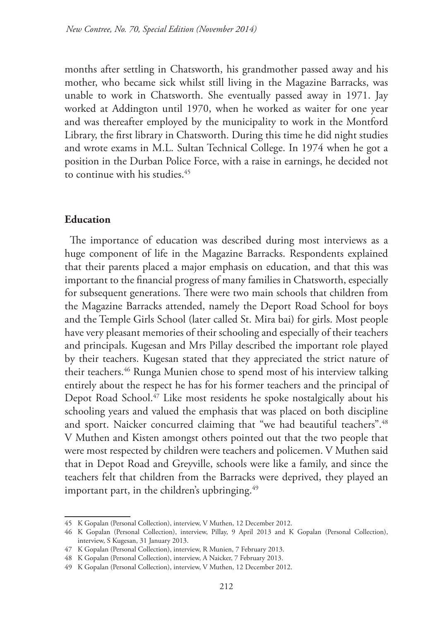months after settling in Chatsworth, his grandmother passed away and his mother, who became sick whilst still living in the Magazine Barracks, was unable to work in Chatsworth. She eventually passed away in 1971. Jay worked at Addington until 1970, when he worked as waiter for one year and was thereafter employed by the municipality to work in the Montford Library, the first library in Chatsworth. During this time he did night studies and wrote exams in M.L. Sultan Technical College. In 1974 when he got a position in the Durban Police Force, with a raise in earnings, he decided not to continue with his studies.<sup>45</sup>

## **Education**

The importance of education was described during most interviews as a huge component of life in the Magazine Barracks. Respondents explained that their parents placed a major emphasis on education, and that this was important to the financial progress of many families in Chatsworth, especially for subsequent generations. There were two main schools that children from the Magazine Barracks attended, namely the Deport Road School for boys and the Temple Girls School (later called St. Mira bai) for girls. Most people have very pleasant memories of their schooling and especially of their teachers and principals. Kugesan and Mrs Pillay described the important role played by their teachers. Kugesan stated that they appreciated the strict nature of their teachers.46 Runga Munien chose to spend most of his interview talking entirely about the respect he has for his former teachers and the principal of Depot Road School.<sup>47</sup> Like most residents he spoke nostalgically about his schooling years and valued the emphasis that was placed on both discipline and sport. Naicker concurred claiming that "we had beautiful teachers".<sup>48</sup> V Muthen and Kisten amongst others pointed out that the two people that were most respected by children were teachers and policemen. V Muthen said that in Depot Road and Greyville, schools were like a family, and since the teachers felt that children from the Barracks were deprived, they played an important part, in the children's upbringing.<sup>49</sup>

<sup>45</sup> K Gopalan (Personal Collection), interview, V Muthen, 12 December 2012.

<sup>46</sup> K Gopalan (Personal Collection), interview, Pillay, 9 April 2013 and K Gopalan (Personal Collection), interview, S Kugesan, 31 January 2013.

<sup>47</sup> K Gopalan (Personal Collection), interview, R Munien, 7 February 2013.

<sup>48</sup> K Gopalan (Personal Collection), interview, A Naicker, 7 February 2013.

<sup>49</sup> K Gopalan (Personal Collection), interview, V Muthen, 12 December 2012.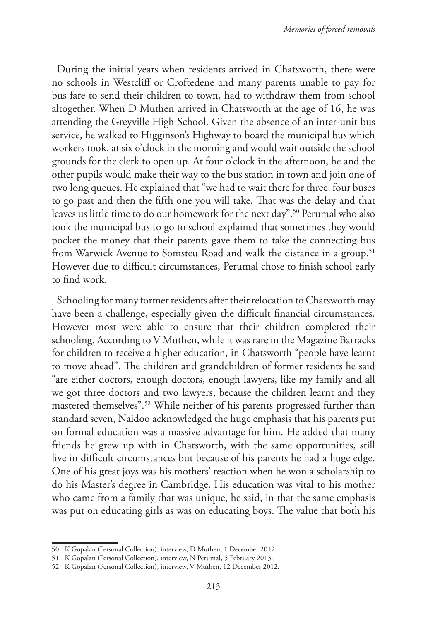During the initial years when residents arrived in Chatsworth, there were no schools in Westcliff or Croftedene and many parents unable to pay for bus fare to send their children to town, had to withdraw them from school altogether. When D Muthen arrived in Chatsworth at the age of 16, he was attending the Greyville High School. Given the absence of an inter-unit bus service, he walked to Higginson's Highway to board the municipal bus which workers took, at six o'clock in the morning and would wait outside the school grounds for the clerk to open up. At four o'clock in the afternoon, he and the other pupils would make their way to the bus station in town and join one of two long queues. He explained that "we had to wait there for three, four buses to go past and then the fifth one you will take. That was the delay and that leaves us little time to do our homework for the next day".50 Perumal who also took the municipal bus to go to school explained that sometimes they would pocket the money that their parents gave them to take the connecting bus from Warwick Avenue to Somsteu Road and walk the distance in a group.<sup>51</sup> However due to difficult circumstances, Perumal chose to finish school early to find work.

Schooling for many former residents after their relocation to Chatsworth may have been a challenge, especially given the difficult financial circumstances. However most were able to ensure that their children completed their schooling. According to V Muthen, while it was rare in the Magazine Barracks for children to receive a higher education, in Chatsworth "people have learnt to move ahead". The children and grandchildren of former residents he said "are either doctors, enough doctors, enough lawyers, like my family and all we got three doctors and two lawyers, because the children learnt and they mastered themselves".52 While neither of his parents progressed further than standard seven, Naidoo acknowledged the huge emphasis that his parents put on formal education was a massive advantage for him. He added that many friends he grew up with in Chatsworth, with the same opportunities, still live in difficult circumstances but because of his parents he had a huge edge. One of his great joys was his mothers' reaction when he won a scholarship to do his Master's degree in Cambridge. His education was vital to his mother who came from a family that was unique, he said, in that the same emphasis was put on educating girls as was on educating boys. The value that both his

<sup>50</sup> K Gopalan (Personal Collection), interview, D Muthen, 1 December 2012.

<sup>51</sup> K Gopalan (Personal Collection), interview, N Perumal, 5 February 2013.

<sup>52</sup> K Gopalan (Personal Collection), interview, V Muthen, 12 December 2012.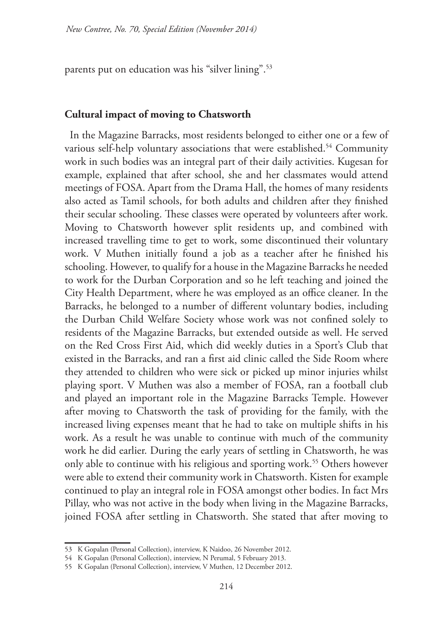parents put on education was his "silver lining".53

#### **Cultural impact of moving to Chatsworth**

In the Magazine Barracks, most residents belonged to either one or a few of various self-help voluntary associations that were established.<sup>54</sup> Community work in such bodies was an integral part of their daily activities. Kugesan for example, explained that after school, she and her classmates would attend meetings of FOSA. Apart from the Drama Hall, the homes of many residents also acted as Tamil schools, for both adults and children after they finished their secular schooling. These classes were operated by volunteers after work. Moving to Chatsworth however split residents up, and combined with increased travelling time to get to work, some discontinued their voluntary work. V Muthen initially found a job as a teacher after he finished his schooling. However, to qualify for a house in the Magazine Barracks he needed to work for the Durban Corporation and so he left teaching and joined the City Health Department, where he was employed as an office cleaner. In the Barracks, he belonged to a number of different voluntary bodies, including the Durban Child Welfare Society whose work was not confined solely to residents of the Magazine Barracks, but extended outside as well. He served on the Red Cross First Aid, which did weekly duties in a Sport's Club that existed in the Barracks, and ran a first aid clinic called the Side Room where they attended to children who were sick or picked up minor injuries whilst playing sport. V Muthen was also a member of FOSA, ran a football club and played an important role in the Magazine Barracks Temple. However after moving to Chatsworth the task of providing for the family, with the increased living expenses meant that he had to take on multiple shifts in his work. As a result he was unable to continue with much of the community work he did earlier. During the early years of settling in Chatsworth, he was only able to continue with his religious and sporting work.<sup>55</sup> Others however were able to extend their community work in Chatsworth. Kisten for example continued to play an integral role in FOSA amongst other bodies. In fact Mrs Pillay, who was not active in the body when living in the Magazine Barracks, joined FOSA after settling in Chatsworth. She stated that after moving to

<sup>53</sup> K Gopalan (Personal Collection), interview, K Naidoo, 26 November 2012.

<sup>54</sup> K Gopalan (Personal Collection), interview, N Perumal, 5 February 2013.

<sup>55</sup> K Gopalan (Personal Collection), interview, V Muthen, 12 December 2012.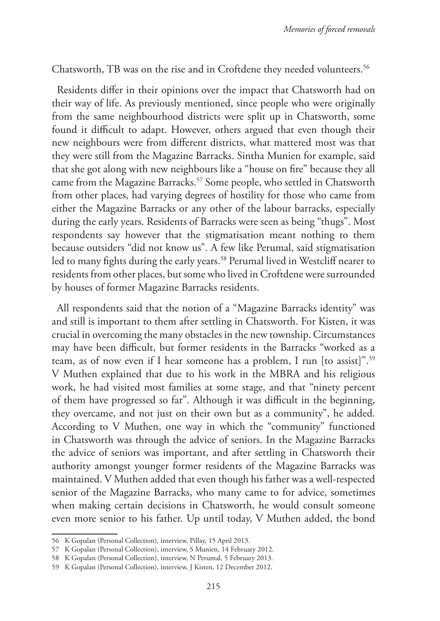Chatsworth, TB was on the rise and in Croftdene they needed volunteers.<sup>56</sup>

Residents differ in their opinions over the impact that Chatsworth had on their way of life. As previously mentioned, since people who were originally from the same neighbourhood districts were split up in Chatsworth, some found it difficult to adapt. However, others argued that even though their new neighbours were from different districts, what mattered most was that they were still from the Magazine Barracks. Sintha Munien for example, said that she got along with new neighbours like a "house on fire" because they all came from the Magazine Barracks.57 Some people, who settled in Chatsworth from other places, had varying degrees of hostility for those who came from either the Magazine Barracks or any other of the labour barracks, especially during the early years. Residents of Barracks were seen as being "thugs". Most respondents say however that the stigmatisation meant nothing to them because outsiders "did not know us". A few like Perumal, said stigmatisation led to many fights during the early years.<sup>58</sup> Perumal lived in Westcliff nearer to residents from other places, but some who lived in Croftdene were surrounded by houses of former Magazine Barracks residents.

All respondents said that the notion of a "Magazine Barracks identity" was and still is important to them after settling in Chatsworth. For Kisten, it was crucial in overcoming the many obstacles in the new township. Circumstances may have been difficult, but former residents in the Barracks "worked as a team, as of now even if I hear someone has a problem, I run [to assist]".59 V Muthen explained that due to his work in the MBRA and his religious work, he had visited most families at some stage, and that "ninety percent of them have progressed so far". Although it was difficult in the beginning, they overcame, and not just on their own but as a community", he added. According to V Muthen, one way in which the "community" functioned in Chatsworth was through the advice of seniors. In the Magazine Barracks the advice of seniors was important, and after settling in Chatsworth their authority amongst younger former residents of the Magazine Barracks was maintained. V Muthen added that even though his father was a well-respected senior of the Magazine Barracks, who many came to for advice, sometimes when making certain decisions in Chatsworth, he would consult someone even more senior to his father. Up until today, V Muthen added, the bond

<sup>56</sup> K Gopalan (Personal Collection), interview, Pillay, 15 April 2013.

<sup>57</sup> K Gopalan (Personal Collection), interview, S Munien, 14 February 2012.

<sup>58</sup> K Gopalan (Personal Collection), interview, N Perumal, 5 February 2013.

<sup>59</sup> K Gopalan (Personal Collection), interview, J Kisten, 12 December 2012.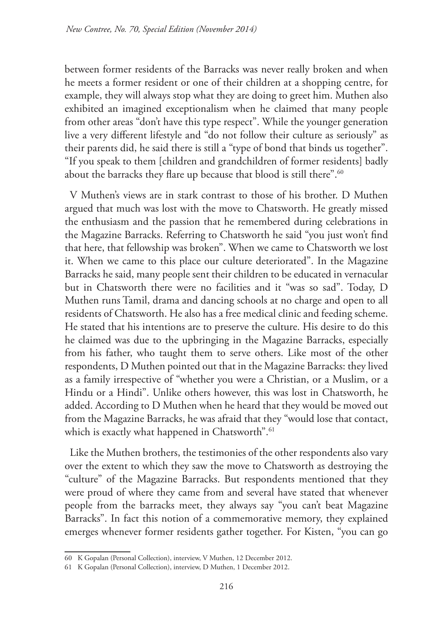between former residents of the Barracks was never really broken and when he meets a former resident or one of their children at a shopping centre, for example, they will always stop what they are doing to greet him. Muthen also exhibited an imagined exceptionalism when he claimed that many people from other areas "don't have this type respect". While the younger generation live a very different lifestyle and "do not follow their culture as seriously" as their parents did, he said there is still a "type of bond that binds us together". "If you speak to them [children and grandchildren of former residents] badly about the barracks they flare up because that blood is still there".<sup>60</sup>

V Muthen's views are in stark contrast to those of his brother. D Muthen argued that much was lost with the move to Chatsworth. He greatly missed the enthusiasm and the passion that he remembered during celebrations in the Magazine Barracks. Referring to Chatsworth he said "you just won't find that here, that fellowship was broken". When we came to Chatsworth we lost it. When we came to this place our culture deteriorated". In the Magazine Barracks he said, many people sent their children to be educated in vernacular but in Chatsworth there were no facilities and it "was so sad". Today, D Muthen runs Tamil, drama and dancing schools at no charge and open to all residents of Chatsworth. He also has a free medical clinic and feeding scheme. He stated that his intentions are to preserve the culture. His desire to do this he claimed was due to the upbringing in the Magazine Barracks, especially from his father, who taught them to serve others. Like most of the other respondents, D Muthen pointed out that in the Magazine Barracks: they lived as a family irrespective of "whether you were a Christian, or a Muslim, or a Hindu or a Hindi". Unlike others however, this was lost in Chatsworth, he added. According to D Muthen when he heard that they would be moved out from the Magazine Barracks, he was afraid that they "would lose that contact, which is exactly what happened in Chatsworth".<sup>61</sup>

Like the Muthen brothers, the testimonies of the other respondents also vary over the extent to which they saw the move to Chatsworth as destroying the "culture" of the Magazine Barracks. But respondents mentioned that they were proud of where they came from and several have stated that whenever people from the barracks meet, they always say "you can't beat Magazine Barracks". In fact this notion of a commemorative memory, they explained emerges whenever former residents gather together. For Kisten, "you can go

<sup>60</sup> K Gopalan (Personal Collection), interview, V Muthen, 12 December 2012.

<sup>61</sup> K Gopalan (Personal Collection), interview, D Muthen, 1 December 2012.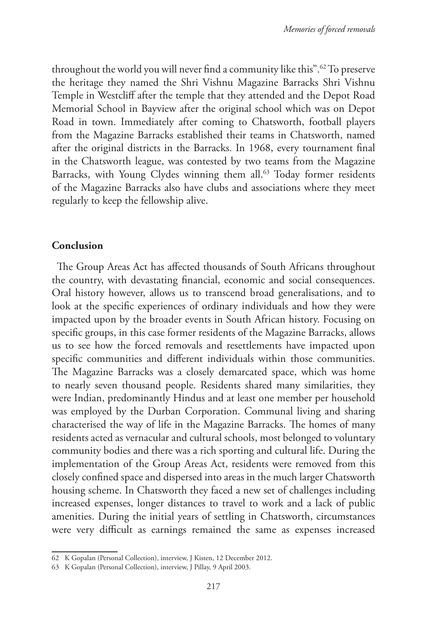throughout the world you will never find a community like this".62 To preserve the heritage they named the Shri Vishnu Magazine Barracks Shri Vishnu Temple in Westcliff after the temple that they attended and the Depot Road Memorial School in Bayview after the original school which was on Depot Road in town. Immediately after coming to Chatsworth, football players from the Magazine Barracks established their teams in Chatsworth, named after the original districts in the Barracks. In 1968, every tournament final in the Chatsworth league, was contested by two teams from the Magazine Barracks, with Young Clydes winning them all.<sup>63</sup> Today former residents of the Magazine Barracks also have clubs and associations where they meet regularly to keep the fellowship alive.

## **Conclusion**

The Group Areas Act has affected thousands of South Africans throughout the country, with devastating financial, economic and social consequences. Oral history however, allows us to transcend broad generalisations, and to look at the specific experiences of ordinary individuals and how they were impacted upon by the broader events in South African history. Focusing on specific groups, in this case former residents of the Magazine Barracks, allows us to see how the forced removals and resettlements have impacted upon specific communities and different individuals within those communities. The Magazine Barracks was a closely demarcated space, which was home to nearly seven thousand people. Residents shared many similarities, they were Indian, predominantly Hindus and at least one member per household was employed by the Durban Corporation. Communal living and sharing characterised the way of life in the Magazine Barracks. The homes of many residents acted as vernacular and cultural schools, most belonged to voluntary community bodies and there was a rich sporting and cultural life. During the implementation of the Group Areas Act, residents were removed from this closely confined space and dispersed into areas in the much larger Chatsworth housing scheme. In Chatsworth they faced a new set of challenges including increased expenses, longer distances to travel to work and a lack of public amenities. During the initial years of settling in Chatsworth, circumstances were very difficult as earnings remained the same as expenses increased

<sup>62</sup> K Gopalan (Personal Collection), interview, J Kisten, 12 December 2012.

<sup>63</sup> K Gopalan (Personal Collection), interview, J Pillay, 9 April 2003.